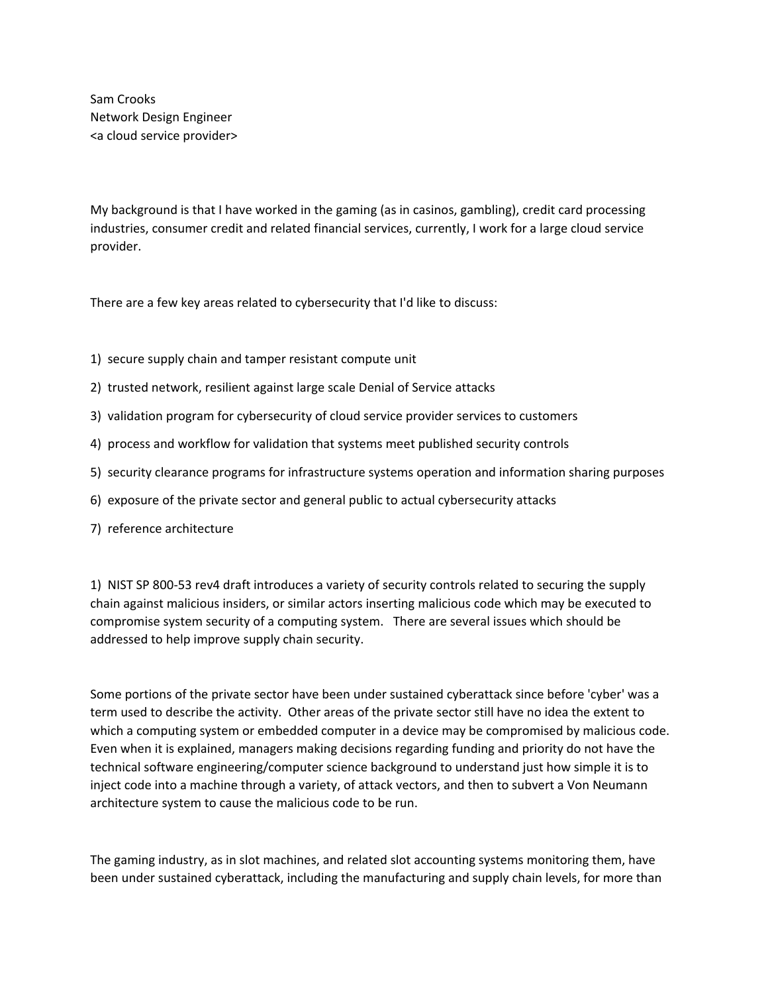Sam Crooks Network Design Engineer <a cloud service provider>

My background is that I have worked in the gaming (as in casinos, gambling), credit card processing industries, consumer credit and related financial services, currently, I work for a large cloud service provider.

There are a few key areas related to cybersecurity that I'd like to discuss:

- 1) secure supply chain and tamper resistant compute unit
- 2) trusted network, resilient against large scale Denial of Service attacks
- 3) validation program for cybersecurity of cloud service provider services to customers
- 4) process and workflow for validation that systems meet published security controls
- 5) security clearance programs for infrastructure systems operation and information sharing purposes
- 6) exposure of the private sector and general public to actual cybersecurity attacks
- 7) reference architecture

1) NIST SP 800-53 rev4 draft introduces a variety of security controls related to securing the supply chain against malicious insiders, or similar actors inserting malicious code which may be executed to compromise system security of a computing system. There are several issues which should be addressed to help improve supply chain security.

Some portions of the private sector have been under sustained cyberattack since before 'cyber' was a term used to describe the activity. Other areas of the private sector still have no idea the extent to which a computing system or embedded computer in a device may be compromised by malicious code. Even when it is explained, managers making decisions regarding funding and priority do not have the technical software engineering/computer science background to understand just how simple it is to inject code into a machine through a variety, of attack vectors, and then to subvert a Von Neumann architecture system to cause the malicious code to be run.

The gaming industry, as in slot machines, and related slot accounting systems monitoring them, have been under sustained cyberattack, including the manufacturing and supply chain levels, for more than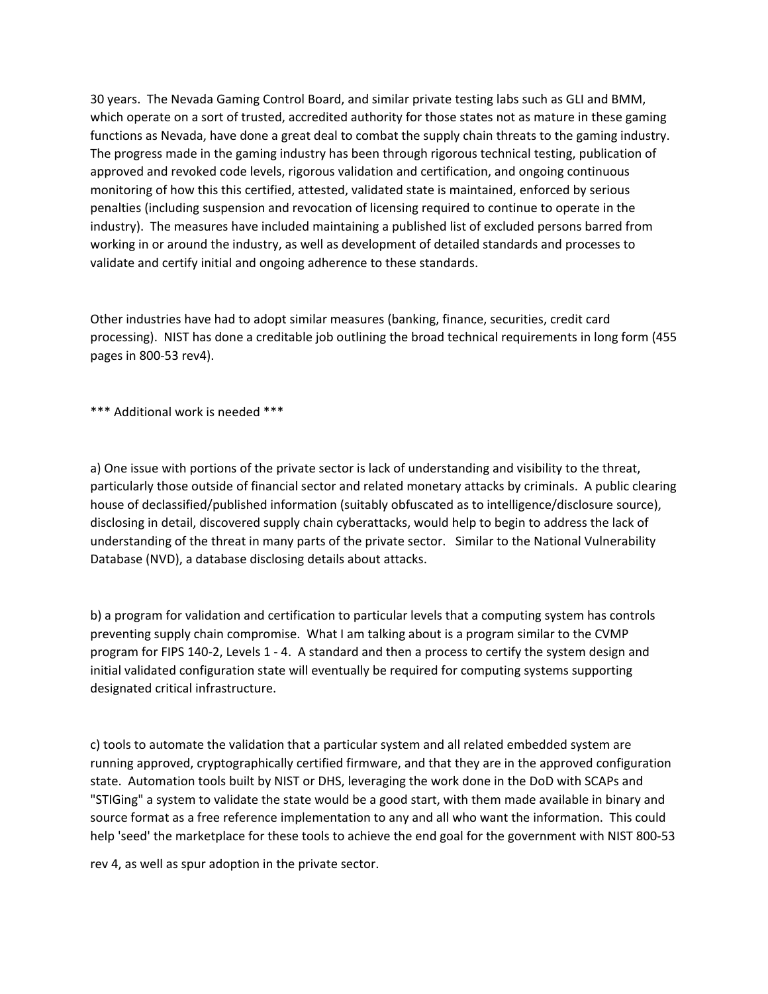30 years. The Nevada Gaming Control Board, and similar private testing labs such as GLI and BMM, which operate on a sort of trusted, accredited authority for those states not as mature in these gaming functions as Nevada, have done a great deal to combat the supply chain threats to the gaming industry. The progress made in the gaming industry has been through rigorous technical testing, publication of approved and revoked code levels, rigorous validation and certification, and ongoing continuous monitoring of how this this certified, attested, validated state is maintained, enforced by serious penalties (including suspension and revocation of licensing required to continue to operate in the industry). The measures have included maintaining a published list of excluded persons barred from working in or around the industry, as well as development of detailed standards and processes to validate and certify initial and ongoing adherence to these standards.

Other industries have had to adopt similar measures (banking, finance, securities, credit card processing). NIST has done a creditable job outlining the broad technical requirements in long form (455 pages in 800-53 rev4).

\*\*\* Additional work is needed \*\*\*

a) One issue with portions of the private sector is lack of understanding and visibility to the threat, particularly those outside of financial sector and related monetary attacks by criminals. A public clearing house of declassified/published information (suitably obfuscated as to intelligence/disclosure source), disclosing in detail, discovered supply chain cyberattacks, would help to begin to address the lack of understanding of the threat in many parts of the private sector. Similar to the National Vulnerability Database (NVD), a database disclosing details about attacks.

b) a program for validation and certification to particular levels that a computing system has controls preventing supply chain compromise. What I am talking about is a program similar to the CVMP program for FIPS 140-2, Levels 1 - 4. A standard and then a process to certify the system design and initial validated configuration state will eventually be required for computing systems supporting designated critical infrastructure.

c) tools to automate the validation that a particular system and all related embedded system are running approved, cryptographically certified firmware, and that they are in the approved configuration state. Automation tools built by NIST or DHS, leveraging the work done in the DoD with SCAPs and "STIGing" a system to validate the state would be a good start, with them made available in binary and source format as a free reference implementation to any and all who want the information. This could help 'seed' the marketplace for these tools to achieve the end goal for the government with NIST 800-53

rev 4, as well as spur adoption in the private sector.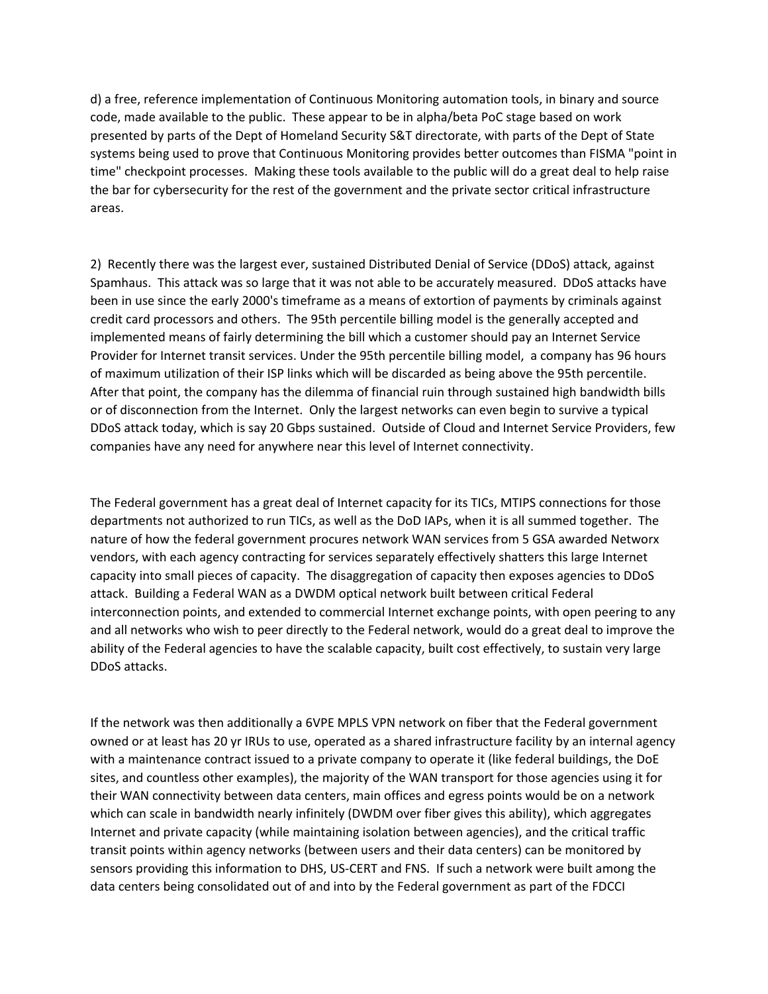d) a free, reference implementation of Continuous Monitoring automation tools, in binary and source code, made available to the public. These appear to be in alpha/beta PoC stage based on work presented by parts of the Dept of Homeland Security S&T directorate, with parts of the Dept of State systems being used to prove that Continuous Monitoring provides better outcomes than FISMA "point in time" checkpoint processes. Making these tools available to the public will do a great deal to help raise the bar for cybersecurity for the rest of the government and the private sector critical infrastructure areas.

2) Recently there was the largest ever, sustained Distributed Denial of Service (DDoS) attack, against Spamhaus. This attack was so large that it was not able to be accurately measured. DDoS attacks have been in use since the early 2000's timeframe as a means of extortion of payments by criminals against credit card processors and others. The 95th percentile billing model is the generally accepted and implemented means of fairly determining the bill which a customer should pay an Internet Service Provider for Internet transit services. Under the 95th percentile billing model, a company has 96 hours of maximum utilization of their ISP links which will be discarded as being above the 95th percentile. After that point, the company has the dilemma of financial ruin through sustained high bandwidth bills or of disconnection from the Internet. Only the largest networks can even begin to survive a typical DDoS attack today, which is say 20 Gbps sustained. Outside of Cloud and Internet Service Providers, few companies have any need for anywhere near this level of Internet connectivity.

The Federal government has a great deal of Internet capacity for its TICs, MTIPS connections for those departments not authorized to run TICs, as well as the DoD IAPs, when it is all summed together. The nature of how the federal government procures network WAN services from 5 GSA awarded Networx vendors, with each agency contracting for services separately effectively shatters this large Internet capacity into small pieces of capacity. The disaggregation of capacity then exposes agencies to DDoS attack. Building a Federal WAN as a DWDM optical network built between critical Federal interconnection points, and extended to commercial Internet exchange points, with open peering to any and all networks who wish to peer directly to the Federal network, would do a great deal to improve the ability of the Federal agencies to have the scalable capacity, built cost effectively, to sustain very large DDoS attacks.

If the network was then additionally a 6VPE MPLS VPN network on fiber that the Federal government owned or at least has 20 yr IRUs to use, operated as a shared infrastructure facility by an internal agency with a maintenance contract issued to a private company to operate it (like federal buildings, the DoE sites, and countless other examples), the majority of the WAN transport for those agencies using it for their WAN connectivity between data centers, main offices and egress points would be on a network which can scale in bandwidth nearly infinitely (DWDM over fiber gives this ability), which aggregates Internet and private capacity (while maintaining isolation between agencies), and the critical traffic transit points within agency networks (between users and their data centers) can be monitored by sensors providing this information to DHS, US-CERT and FNS. If such a network were built among the data centers being consolidated out of and into by the Federal government as part of the FDCCI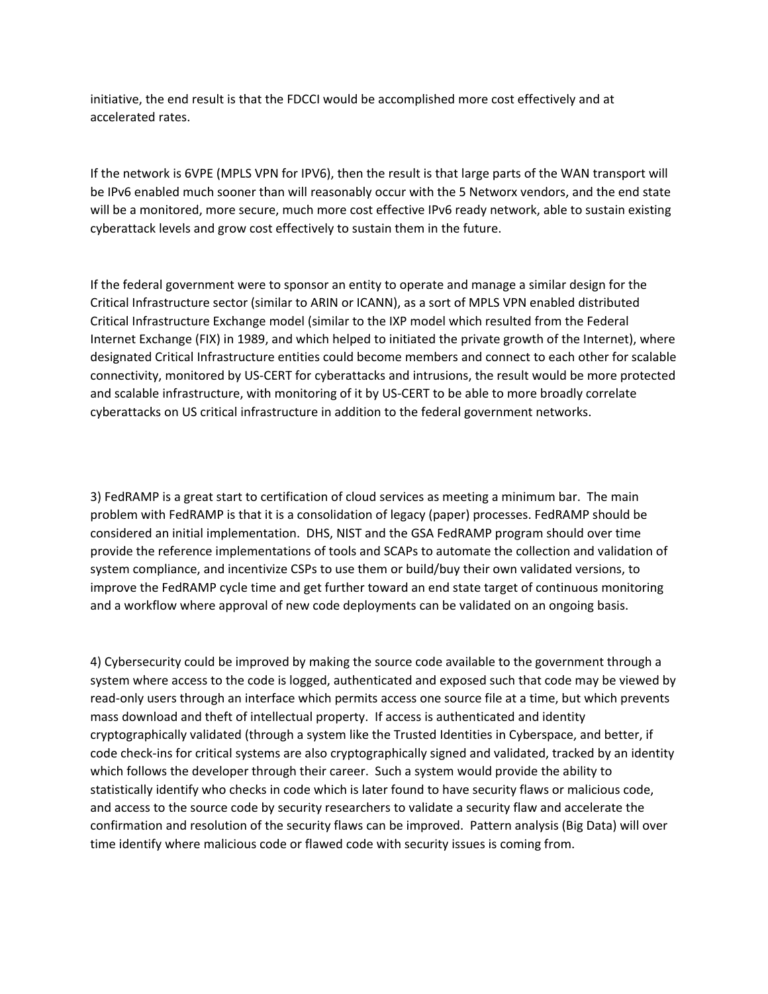initiative, the end result is that the FDCCI would be accomplished more cost effectively and at accelerated rates.

If the network is 6VPE (MPLS VPN for IPV6), then the result is that large parts of the WAN transport will be IPv6 enabled much sooner than will reasonably occur with the 5 Networx vendors, and the end state will be a monitored, more secure, much more cost effective IPv6 ready network, able to sustain existing cyberattack levels and grow cost effectively to sustain them in the future.

If the federal government were to sponsor an entity to operate and manage a similar design for the Critical Infrastructure sector (similar to ARIN or ICANN), as a sort of MPLS VPN enabled distributed Critical Infrastructure Exchange model (similar to the IXP model which resulted from the Federal Internet Exchange (FIX) in 1989, and which helped to initiated the private growth of the Internet), where designated Critical Infrastructure entities could become members and connect to each other for scalable connectivity, monitored by US-CERT for cyberattacks and intrusions, the result would be more protected and scalable infrastructure, with monitoring of it by US-CERT to be able to more broadly correlate cyberattacks on US critical infrastructure in addition to the federal government networks.

3) FedRAMP is a great start to certification of cloud services as meeting a minimum bar. The main problem with FedRAMP is that it is a consolidation of legacy (paper) processes. FedRAMP should be considered an initial implementation. DHS, NIST and the GSA FedRAMP program should over time provide the reference implementations of tools and SCAPs to automate the collection and validation of system compliance, and incentivize CSPs to use them or build/buy their own validated versions, to improve the FedRAMP cycle time and get further toward an end state target of continuous monitoring and a workflow where approval of new code deployments can be validated on an ongoing basis.

4) Cybersecurity could be improved by making the source code available to the government through a system where access to the code is logged, authenticated and exposed such that code may be viewed by read-only users through an interface which permits access one source file at a time, but which prevents mass download and theft of intellectual property. If access is authenticated and identity cryptographically validated (through a system like the Trusted Identities in Cyberspace, and better, if code check-ins for critical systems are also cryptographically signed and validated, tracked by an identity which follows the developer through their career. Such a system would provide the ability to statistically identify who checks in code which is later found to have security flaws or malicious code, and access to the source code by security researchers to validate a security flaw and accelerate the confirmation and resolution of the security flaws can be improved. Pattern analysis (Big Data) will over time identify where malicious code or flawed code with security issues is coming from.